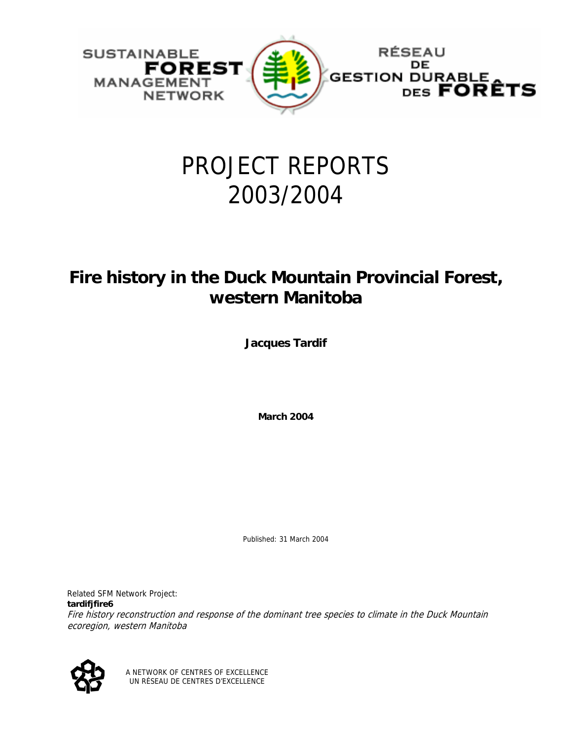

# PROJECT REPORTS 2003/2004

# **Fire history in the Duck Mountain Provincial Forest, western Manitoba**

**Jacques Tardif** 

**March 2004** 

Published: 31 March 2004

Related SFM Network Project: **tardifjfire6** 

Fire history reconstruction and response of the dominant tree species to climate in the Duck Mountain ecoregion, western Manitoba



A NETWORK OF CENTRES OF EXCELLENCE UN RÉSEAU DE CENTRES D'EXCELLENCE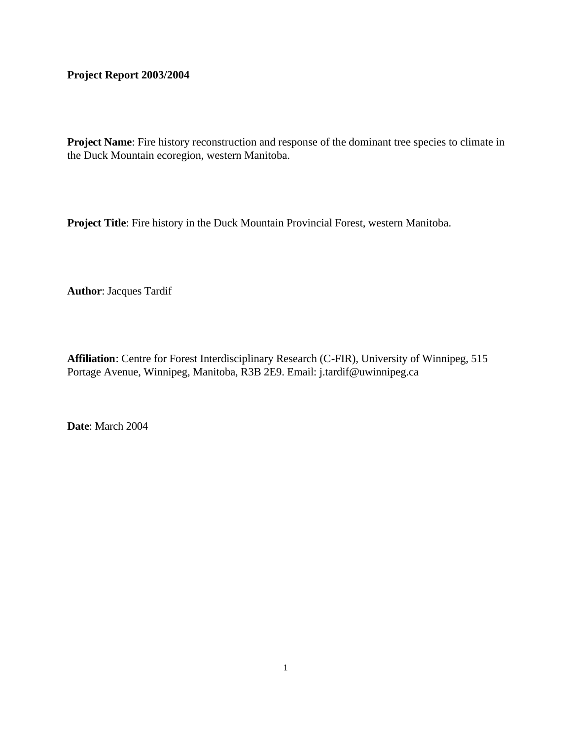# **Project Report 2003/2004**

Project Name: Fire history reconstruction and response of the dominant tree species to climate in the Duck Mountain ecoregion, western Manitoba.

**Project Title**: Fire history in the Duck Mountain Provincial Forest, western Manitoba.

**Author**: Jacques Tardif

**Affiliation**: Centre for Forest Interdisciplinary Research (C-FIR), University of Winnipeg, 515 Portage Avenue, Winnipeg, Manitoba, R3B 2E9. Email: j.tardif@uwinnipeg.ca

**Date**: March 2004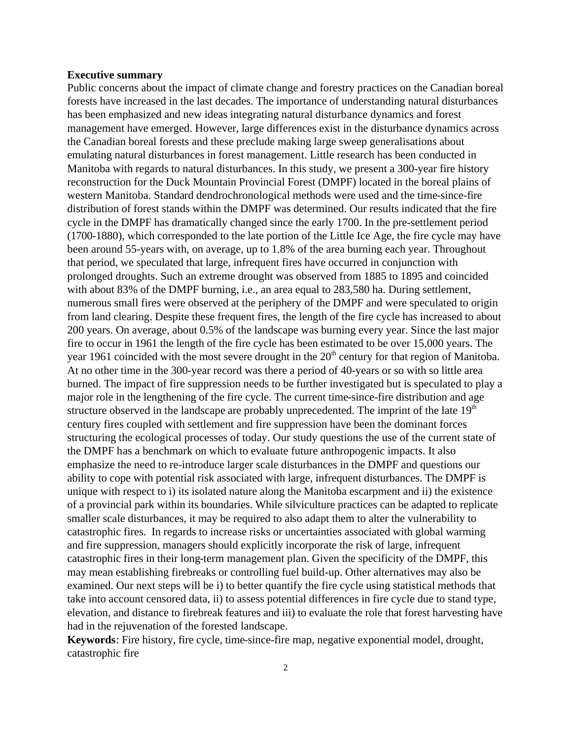### **Executive summary**

Public concerns about the impact of climate change and forestry practices on the Canadian boreal forests have increased in the last decades. The importance of understanding natural disturbances has been emphasized and new ideas integrating natural disturbance dynamics and forest management have emerged. However, large differences exist in the disturbance dynamics across the Canadian boreal forests and these preclude making large sweep generalisations about emulating natural disturbances in forest management. Little research has been conducted in Manitoba with regards to natural disturbances. In this study, we present a 300-year fire history reconstruction for the Duck Mountain Provincial Forest (DMPF) located in the boreal plains of western Manitoba. Standard dendrochronological methods were used and the time-since-fire distribution of forest stands within the DMPF was determined. Our results indicated that the fire cycle in the DMPF has dramatically changed since the early 1700. In the pre-settlement period (1700-1880), which corresponded to the late portion of the Little Ice Age, the fire cycle may have been around 55-years with, on average, up to 1.8% of the area burning each year. Throughout that period, we speculated that large, infrequent fires have occurred in conjunction with prolonged droughts. Such an extreme drought was observed from 1885 to 1895 and coincided with about 83% of the DMPF burning, i.e., an area equal to 283,580 ha. During settlement, numerous small fires were observed at the periphery of the DMPF and were speculated to origin from land clearing. Despite these frequent fires, the length of the fire cycle has increased to about 200 years. On average, about 0.5% of the landscape was burning every year. Since the last major fire to occur in 1961 the length of the fire cycle has been estimated to be over 15,000 years. The year 1961 coincided with the most severe drought in the  $20<sup>th</sup>$  century for that region of Manitoba. At no other time in the 300-year record was there a period of 40-years or so with so little area burned. The impact of fire suppression needs to be further investigated but is speculated to play a major role in the lengthening of the fire cycle. The current time-since-fire distribution and age structure observed in the landscape are probably unprecedented. The imprint of the late  $19<sup>th</sup>$ century fires coupled with settlement and fire suppression have been the dominant forces structuring the ecological processes of today. Our study questions the use of the current state of the DMPF has a benchmark on which to evaluate future anthropogenic impacts. It also emphasize the need to re-introduce larger scale disturbances in the DMPF and questions our ability to cope with potential risk associated with large, infrequent disturbances. The DMPF is unique with respect to i) its isolated nature along the Manitoba escarpment and ii) the existence of a provincial park within its boundaries. While silviculture practices can be adapted to replicate smaller scale disturbances, it may be required to also adapt them to alter the vulnerability to catastrophic fires. In regards to increase risks or uncertainties associated with global warming and fire suppression, managers should explicitly incorporate the risk of large, infrequent catastrophic fires in their long-term management plan. Given the specificity of the DMPF, this may mean establishing firebreaks or controlling fuel build-up. Other alternatives may also be examined. Our next steps will be i) to better quantify the fire cycle using statistical methods that take into account censored data, ii) to assess potential differences in fire cycle due to stand type, elevation, and distance to firebreak features and iii) to evaluate the role that forest harvesting have had in the rejuvenation of the forested landscape.

**Keywords**: Fire history, fire cycle, time-since-fire map, negative exponential model, drought, catastrophic fire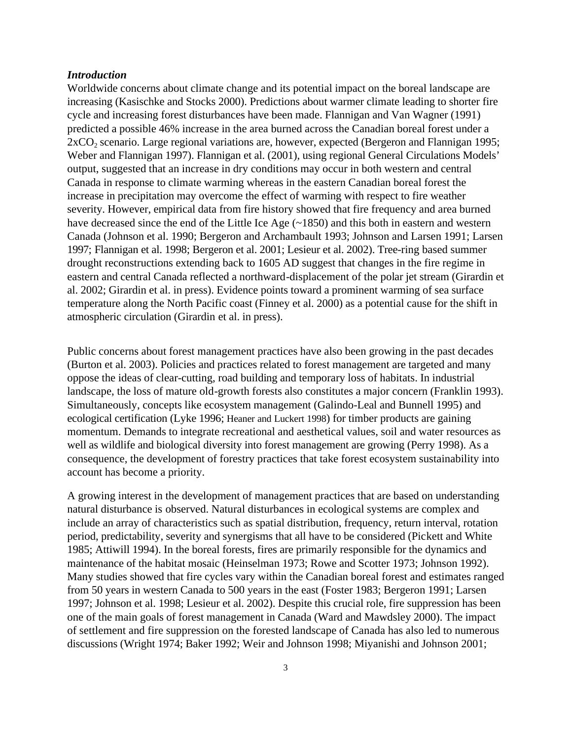# *Introduction*

Worldwide concerns about climate change and its potential impact on the boreal landscape are increasing (Kasischke and Stocks 2000). Predictions about warmer climate leading to shorter fire cycle and increasing forest disturbances have been made. Flannigan and Van Wagner (1991) predicted a possible 46% increase in the area burned across the Canadian boreal forest under a  $2xCO<sub>2</sub>$  scenario. Large regional variations are, however, expected (Bergeron and Flannigan 1995; Weber and Flannigan 1997). Flannigan et al. (2001), using regional General Circulations Models' output, suggested that an increase in dry conditions may occur in both western and central Canada in response to climate warming whereas in the eastern Canadian boreal forest the increase in precipitation may overcome the effect of warming with respect to fire weather severity. However, empirical data from fire history showed that fire frequency and area burned have decreased since the end of the Little Ice Age (~1850) and this both in eastern and western Canada (Johnson et al. 1990; Bergeron and Archambault 1993; Johnson and Larsen 1991; Larsen 1997; Flannigan et al. 1998; Bergeron et al. 2001; Lesieur et al. 2002). Tree-ring based summer drought reconstructions extending back to 1605 AD suggest that changes in the fire regime in eastern and central Canada reflected a northward-displacement of the polar jet stream (Girardin et al. 2002; Girardin et al. in press). Evidence points toward a prominent warming of sea surface temperature along the North Pacific coast (Finney et al. 2000) as a potential cause for the shift in atmospheric circulation (Girardin et al. in press).

Public concerns about forest management practices have also been growing in the past decades (Burton et al. 2003). Policies and practices related to forest management are targeted and many oppose the ideas of clear-cutting, road building and temporary loss of habitats. In industrial landscape, the loss of mature old-growth forests also constitutes a major concern (Franklin 1993). Simultaneously, concepts like ecosystem management (Galindo-Leal and Bunnell 1995) and ecological certification (Lyke 1996; Heaner and Luckert 1998) for timber products are gaining momentum. Demands to integrate recreational and aesthetical values, soil and water resources as well as wildlife and biological diversity into forest management are growing (Perry 1998). As a consequence, the development of forestry practices that take forest ecosystem sustainability into account has become a priority.

A growing interest in the development of management practices that are based on understanding natural disturbance is observed. Natural disturbances in ecological systems are complex and include an array of characteristics such as spatial distribution, frequency, return interval, rotation period, predictability, severity and synergisms that all have to be considered (Pickett and White 1985; Attiwill 1994). In the boreal forests, fires are primarily responsible for the dynamics and maintenance of the habitat mosaic (Heinselman 1973; Rowe and Scotter 1973; Johnson 1992). Many studies showed that fire cycles vary within the Canadian boreal forest and estimates ranged from 50 years in western Canada to 500 years in the east (Foster 1983; Bergeron 1991; Larsen 1997; Johnson et al. 1998; Lesieur et al. 2002). Despite this crucial role, fire suppression has been one of the main goals of forest management in Canada (Ward and Mawdsley 2000). The impact of settlement and fire suppression on the forested landscape of Canada has also led to numerous discussions (Wright 1974; Baker 1992; Weir and Johnson 1998; Miyanishi and Johnson 2001;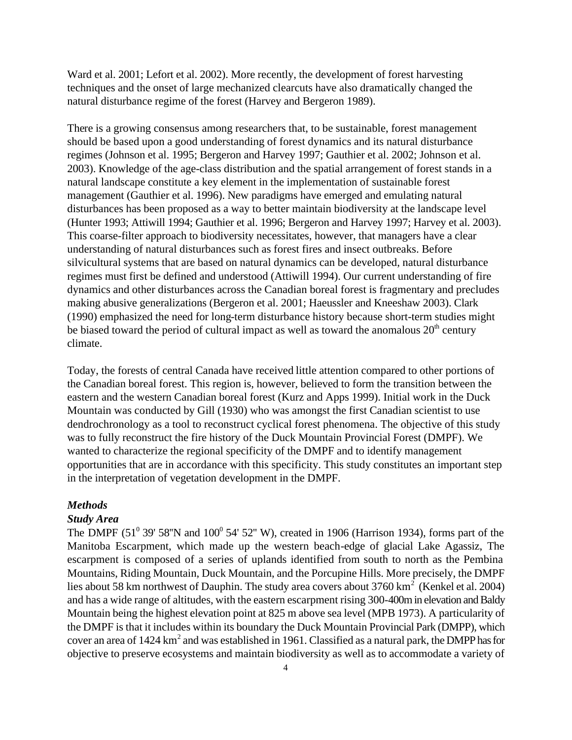Ward et al. 2001; Lefort et al. 2002). More recently, the development of forest harvesting techniques and the onset of large mechanized clearcuts have also dramatically changed the natural disturbance regime of the forest (Harvey and Bergeron 1989).

There is a growing consensus among researchers that, to be sustainable, forest management should be based upon a good understanding of forest dynamics and its natural disturbance regimes (Johnson et al. 1995; Bergeron and Harvey 1997; Gauthier et al. 2002; Johnson et al. 2003). Knowledge of the age-class distribution and the spatial arrangement of forest stands in a natural landscape constitute a key element in the implementation of sustainable forest management (Gauthier et al. 1996). New paradigms have emerged and emulating natural disturbances has been proposed as a way to better maintain biodiversity at the landscape level (Hunter 1993; Attiwill 1994; Gauthier et al. 1996; Bergeron and Harvey 1997; Harvey et al. 2003). This coarse-filter approach to biodiversity necessitates, however, that managers have a clear understanding of natural disturbances such as forest fires and insect outbreaks. Before silvicultural systems that are based on natural dynamics can be developed, natural disturbance regimes must first be defined and understood (Attiwill 1994). Our current understanding of fire dynamics and other disturbances across the Canadian boreal forest is fragmentary and precludes making abusive generalizations (Bergeron et al. 2001; Haeussler and Kneeshaw 2003). Clark (1990) emphasized the need for long-term disturbance history because short-term studies might be biased toward the period of cultural impact as well as toward the anomalous  $20<sup>th</sup>$  century climate.

Today, the forests of central Canada have received little attention compared to other portions of the Canadian boreal forest. This region is, however, believed to form the transition between the eastern and the western Canadian boreal forest (Kurz and Apps 1999). Initial work in the Duck Mountain was conducted by Gill (1930) who was amongst the first Canadian scientist to use dendrochronology as a tool to reconstruct cyclical forest phenomena. The objective of this study was to fully reconstruct the fire history of the Duck Mountain Provincial Forest (DMPF). We wanted to characterize the regional specificity of the DMPF and to identify management opportunities that are in accordance with this specificity. This study constitutes an important step in the interpretation of vegetation development in the DMPF.

# *Methods*

#### *Study Area*

The DMPF (51<sup>0</sup> 39' 58"N and 100<sup>0</sup> 54' 52" W), created in 1906 (Harrison 1934), forms part of the Manitoba Escarpment, which made up the western beach-edge of glacial Lake Agassiz, The escarpment is composed of a series of uplands identified from south to north as the Pembina Mountains, Riding Mountain, Duck Mountain, and the Porcupine Hills. More precisely, the DMPF lies about 58 km northwest of Dauphin. The study area covers about  $3760 \text{ km}^2$  (Kenkel et al. 2004) and has a wide range of altitudes, with the eastern escarpment rising 300-400m in elevation and Baldy Mountain being the highest elevation point at 825 m above sea level (MPB 1973). A particularity of the DMPF is that it includes within its boundary the Duck Mountain Provincial Park (DMPP), which cover an area of  $1424 \text{ km}^2$  and was established in 1961. Classified as a natural park, the DMPP has for objective to preserve ecosystems and maintain biodiversity as well as to accommodate a variety of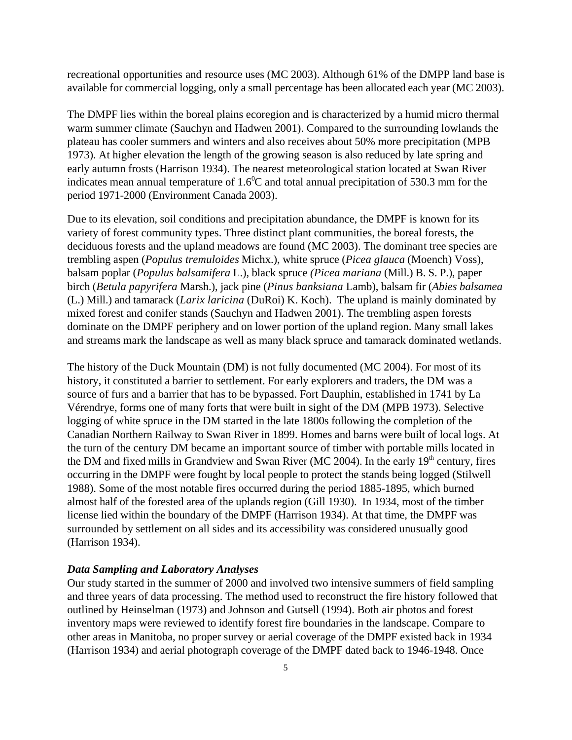recreational opportunities and resource uses (MC 2003). Although 61% of the DMPP land base is available for commercial logging, only a small percentage has been allocated each year (MC 2003).

The DMPF lies within the boreal plains ecoregion and is characterized by a humid micro thermal warm summer climate (Sauchyn and Hadwen 2001). Compared to the surrounding lowlands the plateau has cooler summers and winters and also receives about 50% more precipitation (MPB 1973). At higher elevation the length of the growing season is also reduced by late spring and early autumn frosts (Harrison 1934). The nearest meteorological station located at Swan River indicates mean annual temperature of  $1.6^{\circ}$ C and total annual precipitation of 530.3 mm for the period 1971-2000 (Environment Canada 2003).

Due to its elevation, soil conditions and precipitation abundance, the DMPF is known for its variety of forest community types. Three distinct plant communities, the boreal forests, the deciduous forests and the upland meadows are found (MC 2003). The dominant tree species are trembling aspen (*Populus tremuloides* Michx.), white spruce (*Picea glauca* (Moench) Voss), balsam poplar (*Populus balsamifera* L.), black spruce *(Picea mariana* (Mill.) B. S. P.), paper birch (*Betula papyrifera* Marsh.), jack pine (*Pinus banksiana* Lamb), balsam fir (*Abies balsamea* (L.) Mill.) and tamarack (*Larix laricina* (DuRoi) K. Koch). The upland is mainly dominated by mixed forest and conifer stands (Sauchyn and Hadwen 2001). The trembling aspen forests dominate on the DMPF periphery and on lower portion of the upland region. Many small lakes and streams mark the landscape as well as many black spruce and tamarack dominated wetlands.

The history of the Duck Mountain (DM) is not fully documented (MC 2004). For most of its history, it constituted a barrier to settlement. For early explorers and traders, the DM was a source of furs and a barrier that has to be bypassed. Fort Dauphin, established in 1741 by La Vérendrye, forms one of many forts that were built in sight of the DM (MPB 1973). Selective logging of white spruce in the DM started in the late 1800s following the completion of the Canadian Northern Railway to Swan River in 1899. Homes and barns were built of local logs. At the turn of the century DM became an important source of timber with portable mills located in the DM and fixed mills in Grandview and Swan River (MC 2004). In the early  $19<sup>th</sup>$  century, fires occurring in the DMPF were fought by local people to protect the stands being logged (Stilwell 1988). Some of the most notable fires occurred during the period 1885-1895, which burned almost half of the forested area of the uplands region (Gill 1930). In 1934, most of the timber license lied within the boundary of the DMPF (Harrison 1934). At that time, the DMPF was surrounded by settlement on all sides and its accessibility was considered unusually good (Harrison 1934).

# *Data Sampling and Laboratory Analyses*

Our study started in the summer of 2000 and involved two intensive summers of field sampling and three years of data processing. The method used to reconstruct the fire history followed that outlined by Heinselman (1973) and Johnson and Gutsell (1994). Both air photos and forest inventory maps were reviewed to identify forest fire boundaries in the landscape. Compare to other areas in Manitoba, no proper survey or aerial coverage of the DMPF existed back in 1934 (Harrison 1934) and aerial photograph coverage of the DMPF dated back to 1946-1948. Once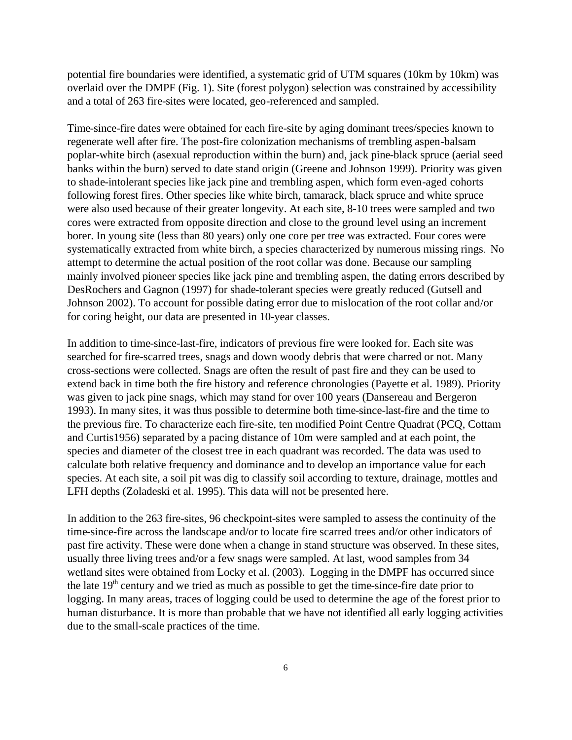potential fire boundaries were identified, a systematic grid of UTM squares (10km by 10km) was overlaid over the DMPF (Fig. 1). Site (forest polygon) selection was constrained by accessibility and a total of 263 fire-sites were located, geo-referenced and sampled.

Time-since-fire dates were obtained for each fire-site by aging dominant trees/species known to regenerate well after fire. The post-fire colonization mechanisms of trembling aspen-balsam poplar-white birch (asexual reproduction within the burn) and, jack pine-black spruce (aerial seed banks within the burn) served to date stand origin (Greene and Johnson 1999). Priority was given to shade-intolerant species like jack pine and trembling aspen, which form even-aged cohorts following forest fires. Other species like white birch, tamarack, black spruce and white spruce were also used because of their greater longevity. At each site, 8-10 trees were sampled and two cores were extracted from opposite direction and close to the ground level using an increment borer. In young site (less than 80 years) only one core per tree was extracted. Four cores were systematically extracted from white birch, a species characterized by numerous missing rings. No attempt to determine the actual position of the root collar was done. Because our sampling mainly involved pioneer species like jack pine and trembling aspen, the dating errors described by DesRochers and Gagnon (1997) for shade-tolerant species were greatly reduced (Gutsell and Johnson 2002). To account for possible dating error due to mislocation of the root collar and/or for coring height, our data are presented in 10-year classes.

In addition to time-since-last-fire, indicators of previous fire were looked for. Each site was searched for fire-scarred trees, snags and down woody debris that were charred or not. Many cross-sections were collected. Snags are often the result of past fire and they can be used to extend back in time both the fire history and reference chronologies (Payette et al. 1989). Priority was given to jack pine snags, which may stand for over 100 years (Dansereau and Bergeron 1993). In many sites, it was thus possible to determine both time-since-last-fire and the time to the previous fire. To characterize each fire-site, ten modified Point Centre Quadrat (PCQ, Cottam and Curtis1956) separated by a pacing distance of 10m were sampled and at each point, the species and diameter of the closest tree in each quadrant was recorded. The data was used to calculate both relative frequency and dominance and to develop an importance value for each species. At each site, a soil pit was dig to classify soil according to texture, drainage, mottles and LFH depths (Zoladeski et al. 1995). This data will not be presented here.

In addition to the 263 fire-sites, 96 checkpoint-sites were sampled to assess the continuity of the time-since-fire across the landscape and/or to locate fire scarred trees and/or other indicators of past fire activity. These were done when a change in stand structure was observed. In these sites, usually three living trees and/or a few snags were sampled. At last, wood samples from 34 wetland sites were obtained from Locky et al. (2003). Logging in the DMPF has occurred since the late  $19<sup>th</sup>$  century and we tried as much as possible to get the time-since-fire date prior to logging. In many areas, traces of logging could be used to determine the age of the forest prior to human disturbance. It is more than probable that we have not identified all early logging activities due to the small-scale practices of the time.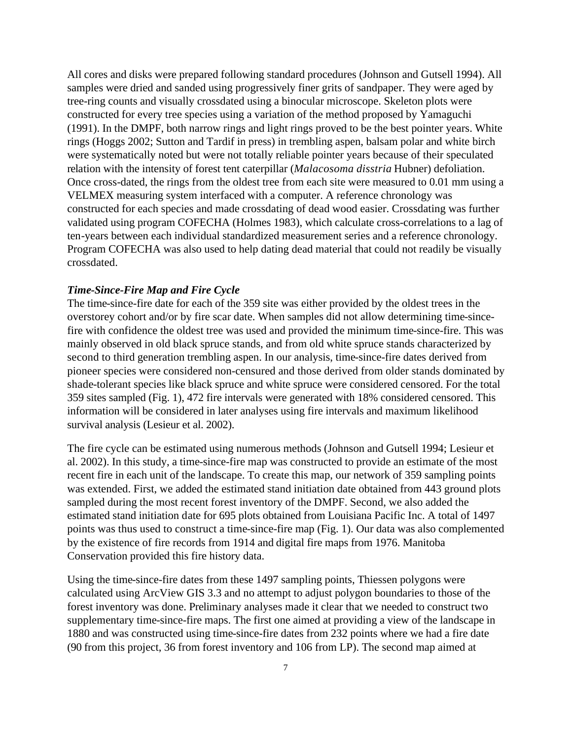All cores and disks were prepared following standard procedures (Johnson and Gutsell 1994). All samples were dried and sanded using progressively finer grits of sandpaper. They were aged by tree-ring counts and visually crossdated using a binocular microscope. Skeleton plots were constructed for every tree species using a variation of the method proposed by Yamaguchi (1991). In the DMPF, both narrow rings and light rings proved to be the best pointer years. White rings (Hoggs 2002; Sutton and Tardif in press) in trembling aspen, balsam polar and white birch were systematically noted but were not totally reliable pointer years because of their speculated relation with the intensity of forest tent caterpillar (*Malacosoma disstria* Hubner) defoliation. Once cross-dated, the rings from the oldest tree from each site were measured to 0.01 mm using a VELMEX measuring system interfaced with a computer. A reference chronology was constructed for each species and made crossdating of dead wood easier. Crossdating was further validated using program COFECHA (Holmes 1983), which calculate cross-correlations to a lag of ten-years between each individual standardized measurement series and a reference chronology. Program COFECHA was also used to help dating dead material that could not readily be visually crossdated.

# *Time-Since-Fire Map and Fire Cycle*

The time-since-fire date for each of the 359 site was either provided by the oldest trees in the overstorey cohort and/or by fire scar date. When samples did not allow determining time-sincefire with confidence the oldest tree was used and provided the minimum time-since-fire. This was mainly observed in old black spruce stands, and from old white spruce stands characterized by second to third generation trembling aspen. In our analysis, time-since-fire dates derived from pioneer species were considered non-censured and those derived from older stands dominated by shade-tolerant species like black spruce and white spruce were considered censored. For the total 359 sites sampled (Fig. 1), 472 fire intervals were generated with 18% considered censored. This information will be considered in later analyses using fire intervals and maximum likelihood survival analysis (Lesieur et al. 2002).

The fire cycle can be estimated using numerous methods (Johnson and Gutsell 1994; Lesieur et al. 2002). In this study, a time-since-fire map was constructed to provide an estimate of the most recent fire in each unit of the landscape. To create this map, our network of 359 sampling points was extended. First, we added the estimated stand initiation date obtained from 443 ground plots sampled during the most recent forest inventory of the DMPF. Second, we also added the estimated stand initiation date for 695 plots obtained from Louisiana Pacific Inc. A total of 1497 points was thus used to construct a time-since-fire map (Fig. 1). Our data was also complemented by the existence of fire records from 1914 and digital fire maps from 1976. Manitoba Conservation provided this fire history data.

Using the time-since-fire dates from these 1497 sampling points, Thiessen polygons were calculated using ArcView GIS 3.3 and no attempt to adjust polygon boundaries to those of the forest inventory was done. Preliminary analyses made it clear that we needed to construct two supplementary time-since-fire maps. The first one aimed at providing a view of the landscape in 1880 and was constructed using time-since-fire dates from 232 points where we had a fire date (90 from this project, 36 from forest inventory and 106 from LP). The second map aimed at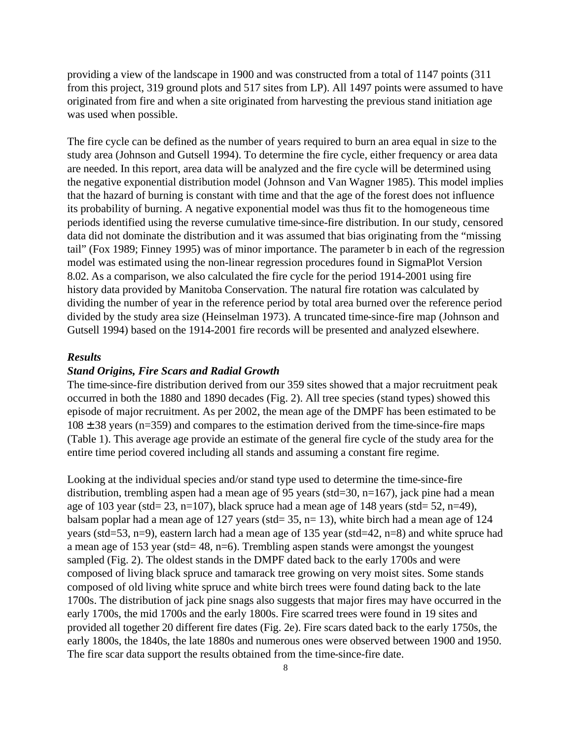providing a view of the landscape in 1900 and was constructed from a total of 1147 points (311 from this project, 319 ground plots and 517 sites from LP). All 1497 points were assumed to have originated from fire and when a site originated from harvesting the previous stand initiation age was used when possible.

The fire cycle can be defined as the number of years required to burn an area equal in size to the study area (Johnson and Gutsell 1994). To determine the fire cycle, either frequency or area data are needed. In this report, area data will be analyzed and the fire cycle will be determined using the negative exponential distribution model (Johnson and Van Wagner 1985). This model implies that the hazard of burning is constant with time and that the age of the forest does not influence its probability of burning. A negative exponential model was thus fit to the homogeneous time periods identified using the reverse cumulative time-since-fire distribution. In our study, censored data did not dominate the distribution and it was assumed that bias originating from the "missing tail" (Fox 1989; Finney 1995) was of minor importance. The parameter b in each of the regression model was estimated using the non-linear regression procedures found in SigmaPlot Version 8.02. As a comparison, we also calculated the fire cycle for the period 1914-2001 using fire history data provided by Manitoba Conservation. The natural fire rotation was calculated by dividing the number of year in the reference period by total area burned over the reference period divided by the study area size (Heinselman 1973). A truncated time-since-fire map (Johnson and Gutsell 1994) based on the 1914-2001 fire records will be presented and analyzed elsewhere.

#### *Results*

# *Stand Origins, Fire Scars and Radial Growth*

The time-since-fire distribution derived from our 359 sites showed that a major recruitment peak occurred in both the 1880 and 1890 decades (Fig. 2). All tree species (stand types) showed this episode of major recruitment. As per 2002, the mean age of the DMPF has been estimated to be  $108 \pm 38$  years (n=359) and compares to the estimation derived from the time-since-fire maps (Table 1). This average age provide an estimate of the general fire cycle of the study area for the entire time period covered including all stands and assuming a constant fire regime.

Looking at the individual species and/or stand type used to determine the time-since-fire distribution, trembling aspen had a mean age of 95 years (std=30, n=167), jack pine had a mean age of 103 year (std=  $23$ , n=107), black spruce had a mean age of 148 years (std=  $52$ , n=49), balsam poplar had a mean age of 127 years (std=  $35$ , n= 13), white birch had a mean age of 124 years (std=53, n=9), eastern larch had a mean age of 135 year (std=42, n=8) and white spruce had a mean age of 153 year (std= 48, n=6). Trembling aspen stands were amongst the youngest sampled (Fig. 2). The oldest stands in the DMPF dated back to the early 1700s and were composed of living black spruce and tamarack tree growing on very moist sites. Some stands composed of old living white spruce and white birch trees were found dating back to the late 1700s. The distribution of jack pine snags also suggests that major fires may have occurred in the early 1700s, the mid 1700s and the early 1800s. Fire scarred trees were found in 19 sites and provided all together 20 different fire dates (Fig. 2e). Fire scars dated back to the early 1750s, the early 1800s, the 1840s, the late 1880s and numerous ones were observed between 1900 and 1950. The fire scar data support the results obtained from the time-since-fire date.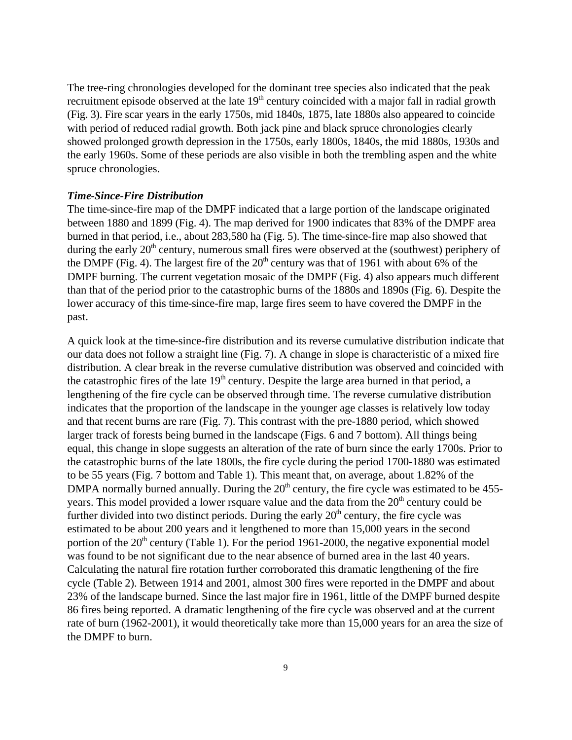The tree-ring chronologies developed for the dominant tree species also indicated that the peak recruitment episode observed at the late 19<sup>th</sup> century coincided with a major fall in radial growth (Fig. 3). Fire scar years in the early 1750s, mid 1840s, 1875, late 1880s also appeared to coincide with period of reduced radial growth. Both jack pine and black spruce chronologies clearly showed prolonged growth depression in the 1750s, early 1800s, 1840s, the mid 1880s, 1930s and the early 1960s. Some of these periods are also visible in both the trembling aspen and the white spruce chronologies.

#### *Time-Since-Fire Distribution*

The time-since-fire map of the DMPF indicated that a large portion of the landscape originated between 1880 and 1899 (Fig. 4). The map derived for 1900 indicates that 83% of the DMPF area burned in that period, i.e., about 283,580 ha (Fig. 5). The time-since-fire map also showed that during the early  $20<sup>th</sup>$  century, numerous small fires were observed at the (southwest) periphery of the DMPF (Fig. 4). The largest fire of the  $20<sup>th</sup>$  century was that of 1961 with about 6% of the DMPF burning. The current vegetation mosaic of the DMPF (Fig. 4) also appears much different than that of the period prior to the catastrophic burns of the 1880s and 1890s (Fig. 6). Despite the lower accuracy of this time-since-fire map, large fires seem to have covered the DMPF in the past.

A quick look at the time-since-fire distribution and its reverse cumulative distribution indicate that our data does not follow a straight line (Fig. 7). A change in slope is characteristic of a mixed fire distribution. A clear break in the reverse cumulative distribution was observed and coincided with the catastrophic fires of the late  $19<sup>th</sup>$  century. Despite the large area burned in that period, a lengthening of the fire cycle can be observed through time. The reverse cumulative distribution indicates that the proportion of the landscape in the younger age classes is relatively low today and that recent burns are rare (Fig. 7). This contrast with the pre-1880 period, which showed larger track of forests being burned in the landscape (Figs. 6 and 7 bottom). All things being equal, this change in slope suggests an alteration of the rate of burn since the early 1700s. Prior to the catastrophic burns of the late 1800s, the fire cycle during the period 1700-1880 was estimated to be 55 years (Fig. 7 bottom and Table 1). This meant that, on average, about 1.82% of the DMPA normally burned annually. During the  $20<sup>th</sup>$  century, the fire cycle was estimated to be 455years. This model provided a lower rsquare value and the data from the  $20<sup>th</sup>$  century could be further divided into two distinct periods. During the early  $20<sup>th</sup>$  century, the fire cycle was estimated to be about 200 years and it lengthened to more than 15,000 years in the second portion of the  $20<sup>th</sup>$  century (Table 1). For the period 1961-2000, the negative exponential model was found to be not significant due to the near absence of burned area in the last 40 years. Calculating the natural fire rotation further corroborated this dramatic lengthening of the fire cycle (Table 2). Between 1914 and 2001, almost 300 fires were reported in the DMPF and about 23% of the landscape burned. Since the last major fire in 1961, little of the DMPF burned despite 86 fires being reported. A dramatic lengthening of the fire cycle was observed and at the current rate of burn (1962-2001), it would theoretically take more than 15,000 years for an area the size of the DMPF to burn.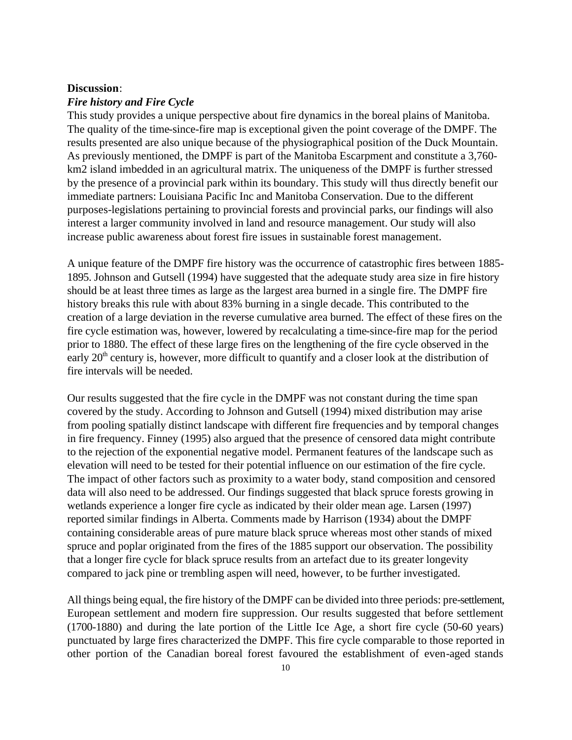#### **Discussion**:

# *Fire history and Fire Cycle*

This study provides a unique perspective about fire dynamics in the boreal plains of Manitoba. The quality of the time-since-fire map is exceptional given the point coverage of the DMPF. The results presented are also unique because of the physiographical position of the Duck Mountain. As previously mentioned, the DMPF is part of the Manitoba Escarpment and constitute a 3,760 km2 island imbedded in an agricultural matrix. The uniqueness of the DMPF is further stressed by the presence of a provincial park within its boundary. This study will thus directly benefit our immediate partners: Louisiana Pacific Inc and Manitoba Conservation. Due to the different purposes-legislations pertaining to provincial forests and provincial parks, our findings will also interest a larger community involved in land and resource management. Our study will also increase public awareness about forest fire issues in sustainable forest management.

A unique feature of the DMPF fire history was the occurrence of catastrophic fires between 1885- 1895. Johnson and Gutsell (1994) have suggested that the adequate study area size in fire history should be at least three times as large as the largest area burned in a single fire. The DMPF fire history breaks this rule with about 83% burning in a single decade. This contributed to the creation of a large deviation in the reverse cumulative area burned. The effect of these fires on the fire cycle estimation was, however, lowered by recalculating a time-since-fire map for the period prior to 1880. The effect of these large fires on the lengthening of the fire cycle observed in the early  $20<sup>th</sup>$  century is, however, more difficult to quantify and a closer look at the distribution of fire intervals will be needed.

Our results suggested that the fire cycle in the DMPF was not constant during the time span covered by the study. According to Johnson and Gutsell (1994) mixed distribution may arise from pooling spatially distinct landscape with different fire frequencies and by temporal changes in fire frequency. Finney (1995) also argued that the presence of censored data might contribute to the rejection of the exponential negative model. Permanent features of the landscape such as elevation will need to be tested for their potential influence on our estimation of the fire cycle. The impact of other factors such as proximity to a water body, stand composition and censored data will also need to be addressed. Our findings suggested that black spruce forests growing in wetlands experience a longer fire cycle as indicated by their older mean age. Larsen (1997) reported similar findings in Alberta. Comments made by Harrison (1934) about the DMPF containing considerable areas of pure mature black spruce whereas most other stands of mixed spruce and poplar originated from the fires of the 1885 support our observation. The possibility that a longer fire cycle for black spruce results from an artefact due to its greater longevity compared to jack pine or trembling aspen will need, however, to be further investigated.

All things being equal, the fire history of the DMPF can be divided into three periods: pre-settlement, European settlement and modern fire suppression. Our results suggested that before settlement (1700-1880) and during the late portion of the Little Ice Age, a short fire cycle (50-60 years) punctuated by large fires characterized the DMPF. This fire cycle comparable to those reported in other portion of the Canadian boreal forest favoured the establishment of even-aged stands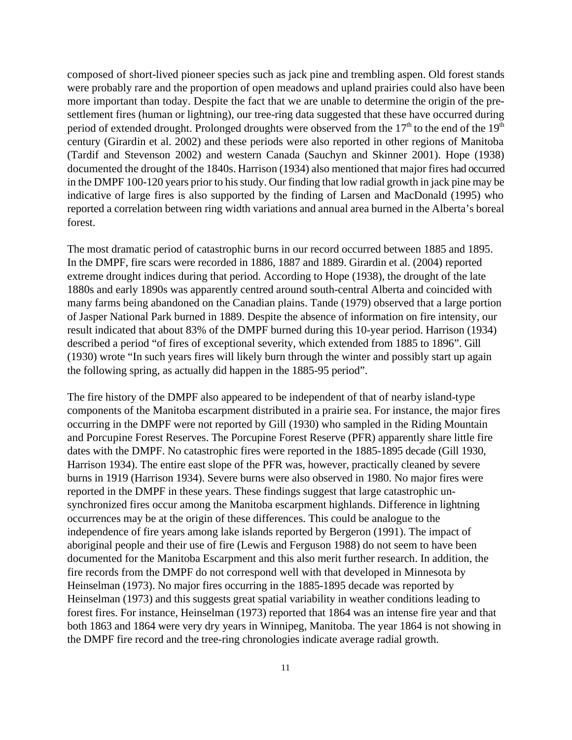composed of short-lived pioneer species such as jack pine and trembling aspen. Old forest stands were probably rare and the proportion of open meadows and upland prairies could also have been more important than today. Despite the fact that we are unable to determine the origin of the presettlement fires (human or lightning), our tree-ring data suggested that these have occurred during period of extended drought. Prolonged droughts were observed from the  $17<sup>th</sup>$  to the end of the  $19<sup>th</sup>$ century (Girardin et al. 2002) and these periods were also reported in other regions of Manitoba (Tardif and Stevenson 2002) and western Canada (Sauchyn and Skinner 2001). Hope (1938) documented the drought of the 1840s. Harrison (1934) also mentioned that major fires had occurred in the DMPF 100-120 years prior to his study. Our finding that low radial growth in jack pine may be indicative of large fires is also supported by the finding of Larsen and MacDonald (1995) who reported a correlation between ring width variations and annual area burned in the Alberta's boreal forest.

The most dramatic period of catastrophic burns in our record occurred between 1885 and 1895. In the DMPF, fire scars were recorded in 1886, 1887 and 1889. Girardin et al. (2004) reported extreme drought indices during that period. According to Hope (1938), the drought of the late 1880s and early 1890s was apparently centred around south-central Alberta and coincided with many farms being abandoned on the Canadian plains. Tande (1979) observed that a large portion of Jasper National Park burned in 1889. Despite the absence of information on fire intensity, our result indicated that about 83% of the DMPF burned during this 10-year period. Harrison (1934) described a period "of fires of exceptional severity, which extended from 1885 to 1896". Gill (1930) wrote "In such years fires will likely burn through the winter and possibly start up again the following spring, as actually did happen in the 1885-95 period".

The fire history of the DMPF also appeared to be independent of that of nearby island-type components of the Manitoba escarpment distributed in a prairie sea. For instance, the major fires occurring in the DMPF were not reported by Gill (1930) who sampled in the Riding Mountain and Porcupine Forest Reserves. The Porcupine Forest Reserve (PFR) apparently share little fire dates with the DMPF. No catastrophic fires were reported in the 1885-1895 decade (Gill 1930, Harrison 1934). The entire east slope of the PFR was, however, practically cleaned by severe burns in 1919 (Harrison 1934). Severe burns were also observed in 1980. No major fires were reported in the DMPF in these years. These findings suggest that large catastrophic unsynchronized fires occur among the Manitoba escarpment highlands. Difference in lightning occurrences may be at the origin of these differences. This could be analogue to the independence of fire years among lake islands reported by Bergeron (1991). The impact of aboriginal people and their use of fire (Lewis and Ferguson 1988) do not seem to have been documented for the Manitoba Escarpment and this also merit further research. In addition, the fire records from the DMPF do not correspond well with that developed in Minnesota by Heinselman (1973). No major fires occurring in the 1885-1895 decade was reported by Heinselman (1973) and this suggests great spatial variability in weather conditions leading to forest fires. For instance, Heinselman (1973) reported that 1864 was an intense fire year and that both 1863 and 1864 were very dry years in Winnipeg, Manitoba. The year 1864 is not showing in the DMPF fire record and the tree-ring chronologies indicate average radial growth.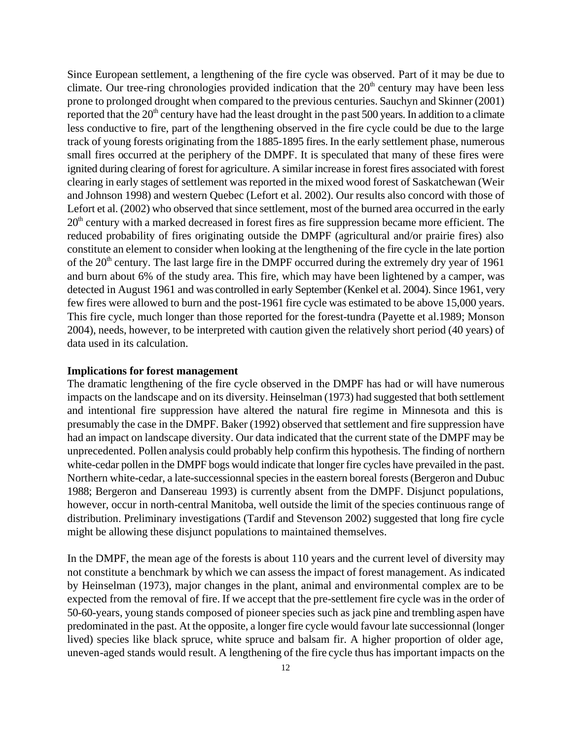Since European settlement, a lengthening of the fire cycle was observed. Part of it may be due to climate. Our tree-ring chronologies provided indication that the  $20<sup>th</sup>$  century may have been less prone to prolonged drought when compared to the previous centuries. Sauchyn and Skinner (2001) reported that the  $20<sup>th</sup>$  century have had the least drought in the past 500 years. In addition to a climate less conductive to fire, part of the lengthening observed in the fire cycle could be due to the large track of young forests originating from the 1885-1895 fires. In the early settlement phase, numerous small fires occurred at the periphery of the DMPF. It is speculated that many of these fires were ignited during clearing of forest for agriculture. A similar increase in forest fires associated with forest clearing in early stages of settlement was reported in the mixed wood forest of Saskatchewan (Weir and Johnson 1998) and western Quebec (Lefort et al. 2002). Our results also concord with those of Lefort et al. (2002) who observed that since settlement, most of the burned area occurred in the early  $20<sup>th</sup>$  century with a marked decreased in forest fires as fire suppression became more efficient. The reduced probability of fires originating outside the DMPF (agricultural and/or prairie fires) also constitute an element to consider when looking at the lengthening of the fire cycle in the late portion of the  $20<sup>th</sup>$  century. The last large fire in the DMPF occurred during the extremely dry year of 1961 and burn about 6% of the study area. This fire, which may have been lightened by a camper, was detected in August 1961 and was controlled in early September (Kenkel et al. 2004). Since 1961, very few fires were allowed to burn and the post-1961 fire cycle was estimated to be above 15,000 years. This fire cycle, much longer than those reported for the forest-tundra (Payette et al.1989; Monson 2004), needs, however, to be interpreted with caution given the relatively short period (40 years) of data used in its calculation.

# **Implications for forest management**

The dramatic lengthening of the fire cycle observed in the DMPF has had or will have numerous impacts on the landscape and on its diversity. Heinselman (1973) had suggested that both settlement and intentional fire suppression have altered the natural fire regime in Minnesota and this is presumably the case in the DMPF. Baker (1992) observed that settlement and fire suppression have had an impact on landscape diversity. Our data indicated that the current state of the DMPF may be unprecedented. Pollen analysis could probably help confirm this hypothesis. The finding of northern white-cedar pollen in the DMPF bogs would indicate that longer fire cycles have prevailed in the past. Northern white-cedar, a late-successionnal species in the eastern boreal forests (Bergeron and Dubuc 1988; Bergeron and Dansereau 1993) is currently absent from the DMPF. Disjunct populations, however, occur in north-central Manitoba, well outside the limit of the species continuous range of distribution. Preliminary investigations (Tardif and Stevenson 2002) suggested that long fire cycle might be allowing these disjunct populations to maintained themselves.

In the DMPF, the mean age of the forests is about 110 years and the current level of diversity may not constitute a benchmark by which we can assess the impact of forest management. As indicated by Heinselman (1973), major changes in the plant, animal and environmental complex are to be expected from the removal of fire. If we accept that the pre-settlement fire cycle was in the order of 50-60-years, young stands composed of pioneer species such as jack pine and trembling aspen have predominated in the past. At the opposite, a longer fire cycle would favour late successionnal (longer lived) species like black spruce, white spruce and balsam fir. A higher proportion of older age, uneven-aged stands would result. A lengthening of the fire cycle thus has important impacts on the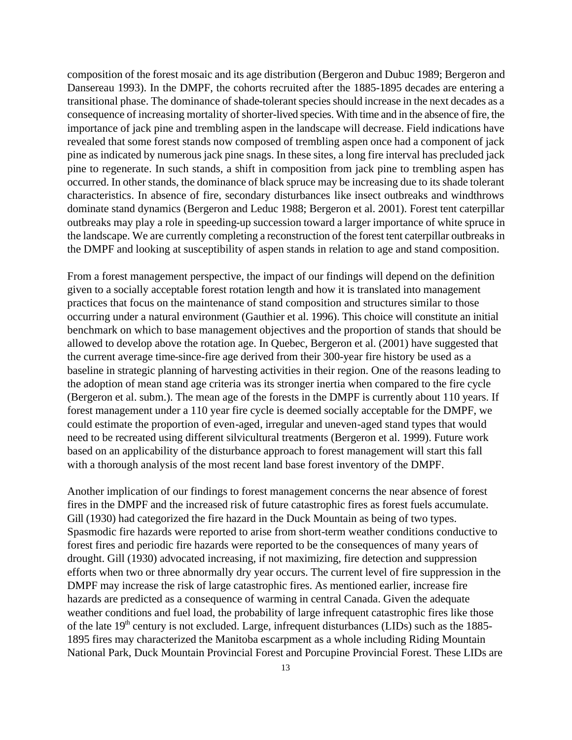composition of the forest mosaic and its age distribution (Bergeron and Dubuc 1989; Bergeron and Dansereau 1993). In the DMPF, the cohorts recruited after the 1885-1895 decades are entering a transitional phase. The dominance of shade-tolerant species should increase in the next decades as a consequence of increasing mortality of shorter-lived species. With time and in the absence of fire, the importance of jack pine and trembling aspen in the landscape will decrease. Field indications have revealed that some forest stands now composed of trembling aspen once had a component of jack pine as indicated by numerous jack pine snags. In these sites, a long fire interval has precluded jack pine to regenerate. In such stands, a shift in composition from jack pine to trembling aspen has occurred. In other stands, the dominance of black spruce may be increasing due to its shade tolerant characteristics. In absence of fire, secondary disturbances like insect outbreaks and windthrows dominate stand dynamics (Bergeron and Leduc 1988; Bergeron et al. 2001). Forest tent caterpillar outbreaks may play a role in speeding-up succession toward a larger importance of white spruce in the landscape. We are currently completing a reconstruction of the forest tent caterpillar outbreaks in the DMPF and looking at susceptibility of aspen stands in relation to age and stand composition.

From a forest management perspective, the impact of our findings will depend on the definition given to a socially acceptable forest rotation length and how it is translated into management practices that focus on the maintenance of stand composition and structures similar to those occurring under a natural environment (Gauthier et al. 1996). This choice will constitute an initial benchmark on which to base management objectives and the proportion of stands that should be allowed to develop above the rotation age. In Quebec, Bergeron et al. (2001) have suggested that the current average time-since-fire age derived from their 300-year fire history be used as a baseline in strategic planning of harvesting activities in their region. One of the reasons leading to the adoption of mean stand age criteria was its stronger inertia when compared to the fire cycle (Bergeron et al. subm.). The mean age of the forests in the DMPF is currently about 110 years. If forest management under a 110 year fire cycle is deemed socially acceptable for the DMPF, we could estimate the proportion of even-aged, irregular and uneven-aged stand types that would need to be recreated using different silvicultural treatments (Bergeron et al. 1999). Future work based on an applicability of the disturbance approach to forest management will start this fall with a thorough analysis of the most recent land base forest inventory of the DMPF.

Another implication of our findings to forest management concerns the near absence of forest fires in the DMPF and the increased risk of future catastrophic fires as forest fuels accumulate. Gill (1930) had categorized the fire hazard in the Duck Mountain as being of two types. Spasmodic fire hazards were reported to arise from short-term weather conditions conductive to forest fires and periodic fire hazards were reported to be the consequences of many years of drought. Gill (1930) advocated increasing, if not maximizing, fire detection and suppression efforts when two or three abnormally dry year occurs. The current level of fire suppression in the DMPF may increase the risk of large catastrophic fires. As mentioned earlier, increase fire hazards are predicted as a consequence of warming in central Canada. Given the adequate weather conditions and fuel load, the probability of large infrequent catastrophic fires like those of the late  $19<sup>th</sup>$  century is not excluded. Large, infrequent disturbances (LIDs) such as the 1885-1895 fires may characterized the Manitoba escarpment as a whole including Riding Mountain National Park, Duck Mountain Provincial Forest and Porcupine Provincial Forest. These LIDs are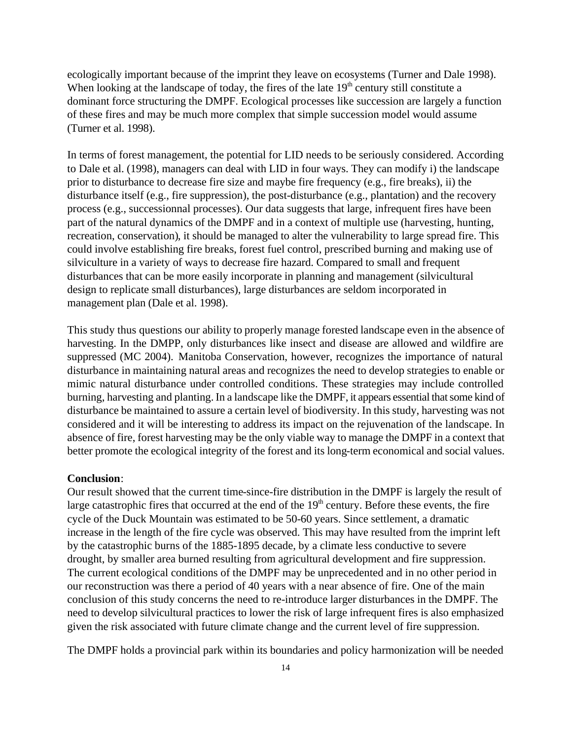ecologically important because of the imprint they leave on ecosystems (Turner and Dale 1998). When looking at the landscape of today, the fires of the late  $19<sup>th</sup>$  century still constitute a dominant force structuring the DMPF. Ecological processes like succession are largely a function of these fires and may be much more complex that simple succession model would assume (Turner et al. 1998).

In terms of forest management, the potential for LID needs to be seriously considered. According to Dale et al. (1998), managers can deal with LID in four ways. They can modify i) the landscape prior to disturbance to decrease fire size and maybe fire frequency (e.g., fire breaks), ii) the disturbance itself (e.g., fire suppression), the post-disturbance (e.g., plantation) and the recovery process (e.g., successionnal processes). Our data suggests that large, infrequent fires have been part of the natural dynamics of the DMPF and in a context of multiple use (harvesting, hunting, recreation, conservation), it should be managed to alter the vulnerability to large spread fire. This could involve establishing fire breaks, forest fuel control, prescribed burning and making use of silviculture in a variety of ways to decrease fire hazard. Compared to small and frequent disturbances that can be more easily incorporate in planning and management (silvicultural design to replicate small disturbances), large disturbances are seldom incorporated in management plan (Dale et al. 1998).

This study thus questions our ability to properly manage forested landscape even in the absence of harvesting. In the DMPP, only disturbances like insect and disease are allowed and wildfire are suppressed (MC 2004). Manitoba Conservation, however, recognizes the importance of natural disturbance in maintaining natural areas and recognizes the need to develop strategies to enable or mimic natural disturbance under controlled conditions. These strategies may include controlled burning, harvesting and planting. In a landscape like the DMPF, it appears essential that some kind of disturbance be maintained to assure a certain level of biodiversity. In this study, harvesting was not considered and it will be interesting to address its impact on the rejuvenation of the landscape. In absence of fire, forest harvesting may be the only viable way to manage the DMPF in a context that better promote the ecological integrity of the forest and its long-term economical and social values.

#### **Conclusion**:

Our result showed that the current time-since-fire distribution in the DMPF is largely the result of large catastrophic fires that occurred at the end of the  $19<sup>th</sup>$  century. Before these events, the fire cycle of the Duck Mountain was estimated to be 50-60 years. Since settlement, a dramatic increase in the length of the fire cycle was observed. This may have resulted from the imprint left by the catastrophic burns of the 1885-1895 decade, by a climate less conductive to severe drought, by smaller area burned resulting from agricultural development and fire suppression. The current ecological conditions of the DMPF may be unprecedented and in no other period in our reconstruction was there a period of 40 years with a near absence of fire. One of the main conclusion of this study concerns the need to re-introduce larger disturbances in the DMPF. The need to develop silvicultural practices to lower the risk of large infrequent fires is also emphasized given the risk associated with future climate change and the current level of fire suppression.

The DMPF holds a provincial park within its boundaries and policy harmonization will be needed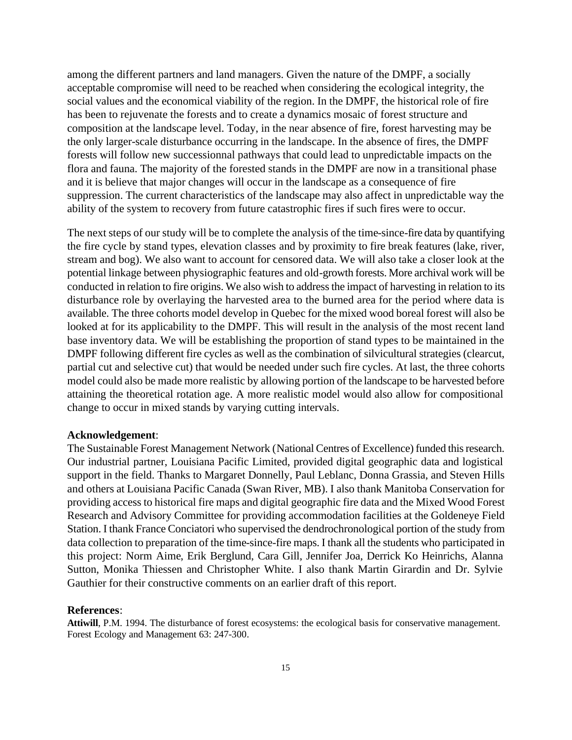among the different partners and land managers. Given the nature of the DMPF, a socially acceptable compromise will need to be reached when considering the ecological integrity, the social values and the economical viability of the region. In the DMPF, the historical role of fire has been to rejuvenate the forests and to create a dynamics mosaic of forest structure and composition at the landscape level. Today, in the near absence of fire, forest harvesting may be the only larger-scale disturbance occurring in the landscape. In the absence of fires, the DMPF forests will follow new successionnal pathways that could lead to unpredictable impacts on the flora and fauna. The majority of the forested stands in the DMPF are now in a transitional phase and it is believe that major changes will occur in the landscape as a consequence of fire suppression. The current characteristics of the landscape may also affect in unpredictable way the ability of the system to recovery from future catastrophic fires if such fires were to occur.

The next steps of our study will be to complete the analysis of the time-since-fire data by quantifying the fire cycle by stand types, elevation classes and by proximity to fire break features (lake, river, stream and bog). We also want to account for censored data. We will also take a closer look at the potential linkage between physiographic features and old-growth forests. More archival work will be conducted in relation to fire origins. We also wish to address the impact of harvesting in relation to its disturbance role by overlaying the harvested area to the burned area for the period where data is available. The three cohorts model develop in Quebec for the mixed wood boreal forest will also be looked at for its applicability to the DMPF. This will result in the analysis of the most recent land base inventory data. We will be establishing the proportion of stand types to be maintained in the DMPF following different fire cycles as well as the combination of silvicultural strategies (clearcut, partial cut and selective cut) that would be needed under such fire cycles. At last, the three cohorts model could also be made more realistic by allowing portion of the landscape to be harvested before attaining the theoretical rotation age. A more realistic model would also allow for compositional change to occur in mixed stands by varying cutting intervals.

#### **Acknowledgement**:

The Sustainable Forest Management Network (National Centres of Excellence) funded this research. Our industrial partner, Louisiana Pacific Limited, provided digital geographic data and logistical support in the field. Thanks to Margaret Donnelly, Paul Leblanc, Donna Grassia, and Steven Hills and others at Louisiana Pacific Canada (Swan River, MB). I also thank Manitoba Conservation for providing access to historical fire maps and digital geographic fire data and the Mixed Wood Forest Research and Advisory Committee for providing accommodation facilities at the Goldeneye Field Station. I thank France Conciatori who supervised the dendrochronological portion of the study from data collection to preparation of the time-since-fire maps. I thank all the students who participated in this project: Norm Aime, Erik Berglund, Cara Gill, Jennifer Joa, Derrick Ko Heinrichs, Alanna Sutton, Monika Thiessen and Christopher White. I also thank Martin Girardin and Dr. Sylvie Gauthier for their constructive comments on an earlier draft of this report.

#### **References**:

**Attiwill**, P.M. 1994. The disturbance of forest ecosystems: the ecological basis for conservative management. Forest Ecology and Management 63: 247-300.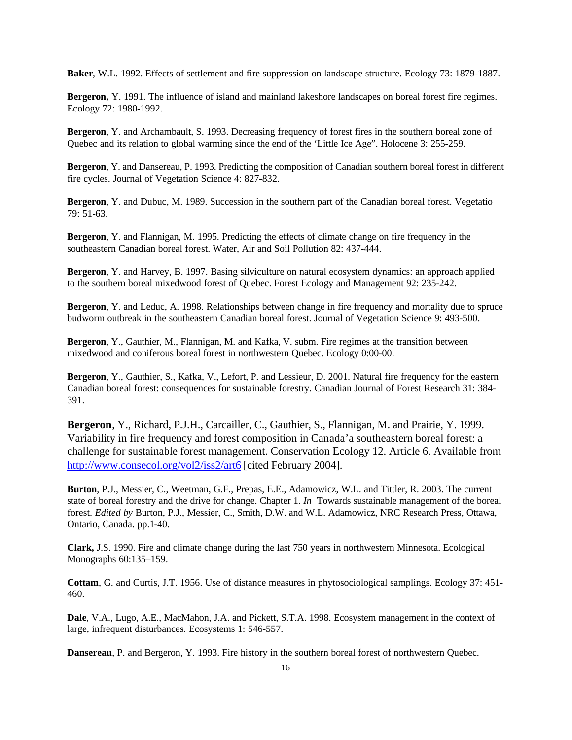**Baker**, W.L. 1992. Effects of settlement and fire suppression on landscape structure. Ecology 73: 1879-1887.

**Bergeron,** Y. 1991. The influence of island and mainland lakeshore landscapes on boreal forest fire regimes. Ecology 72: 1980-1992.

**Bergeron**, Y. and Archambault, S. 1993. Decreasing frequency of forest fires in the southern boreal zone of Quebec and its relation to global warming since the end of the 'Little Ice Age". Holocene 3: 255-259.

**Bergeron**, Y. and Dansereau, P. 1993. Predicting the composition of Canadian southern boreal forest in different fire cycles. Journal of Vegetation Science 4: 827-832.

**Bergeron**, Y. and Dubuc, M. 1989. Succession in the southern part of the Canadian boreal forest. Vegetatio 79: 51-63.

**Bergeron**, Y. and Flannigan, M. 1995. Predicting the effects of climate change on fire frequency in the southeastern Canadian boreal forest. Water, Air and Soil Pollution 82: 437-444.

**Bergeron**, Y. and Harvey, B. 1997. Basing silviculture on natural ecosystem dynamics: an approach applied to the southern boreal mixedwood forest of Quebec. Forest Ecology and Management 92: 235-242.

**Bergeron**, Y. and Leduc, A. 1998. Relationships between change in fire frequency and mortality due to spruce budworm outbreak in the southeastern Canadian boreal forest. Journal of Vegetation Science 9: 493-500.

**Bergeron**, Y., Gauthier, M., Flannigan, M. and Kafka, V. subm. Fire regimes at the transition between mixedwood and coniferous boreal forest in northwestern Quebec. Ecology 0:00-00.

**Bergeron**, Y., Gauthier, S., Kafka, V., Lefort, P. and Lessieur, D. 2001. Natural fire frequency for the eastern Canadian boreal forest: consequences for sustainable forestry. Canadian Journal of Forest Research 31: 384- 391.

**Bergeron**, Y., Richard, P.J.H., Carcailler, C., Gauthier, S., Flannigan, M. and Prairie, Y. 1999. Variability in fire frequency and forest composition in Canada'a southeastern boreal forest: a challenge for sustainable forest management. Conservation Ecology 12. Article 6. Available from http://www.consecol.org/vol2/iss2/art6 [cited February 2004].

**Burton**, P.J., Messier, C., Weetman, G.F., Prepas, E.E., Adamowicz, W.L. and Tittler, R. 2003. The current state of boreal forestry and the drive for change. Chapter 1. *In* Towards sustainable management of the boreal forest. *Edited by* Burton, P.J., Messier, C., Smith, D.W. and W.L. Adamowicz, NRC Research Press, Ottawa, Ontario, Canada. pp.1-40.

**Clark,** J.S. 1990. Fire and climate change during the last 750 years in northwestern Minnesota. Ecological Monographs 60:135–159.

**Cottam**, G. and Curtis, J.T. 1956. Use of distance measures in phytosociological samplings. Ecology 37: 451- 460.

**Dale**, V.A., Lugo, A.E., MacMahon, J.A. and Pickett, S.T.A. 1998. Ecosystem management in the context of large, infrequent disturbances. Ecosystems 1: 546-557.

**Dansereau**, P. and Bergeron, Y. 1993. Fire history in the southern boreal forest of northwestern Quebec.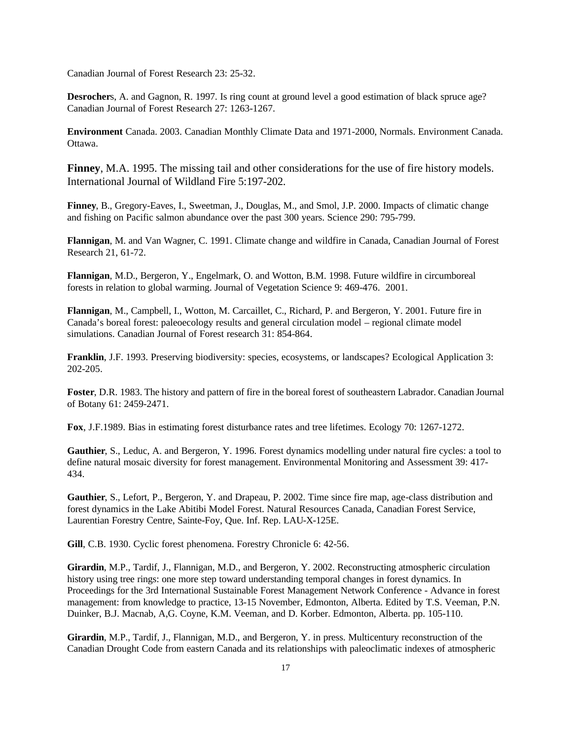Canadian Journal of Forest Research 23: 25-32.

**Desrocher**s, A. and Gagnon, R. 1997. Is ring count at ground level a good estimation of black spruce age? Canadian Journal of Forest Research 27: 1263-1267.

**Environment** Canada. 2003. Canadian Monthly Climate Data and 1971-2000, Normals. Environment Canada. Ottawa.

**Finney**, M.A. 1995. The missing tail and other considerations for the use of fire history models. International Journal of Wildland Fire 5:197-202.

**Finney**, B., Gregory-Eaves, I., Sweetman, J., Douglas, M., and Smol, J.P. 2000. Impacts of climatic change and fishing on Pacific salmon abundance over the past 300 years. Science 290: 795-799.

**Flannigan**, M. and Van Wagner, C. 1991. Climate change and wildfire in Canada, Canadian Journal of Forest Research 21, 61-72.

**Flannigan**, M.D., Bergeron, Y., Engelmark, O. and Wotton, B.M. 1998. Future wildfire in circumboreal forests in relation to global warming. Journal of Vegetation Science 9: 469-476. 2001.

**Flannigan**, M., Campbell, I., Wotton, M. Carcaillet, C., Richard, P. and Bergeron, Y. 2001. Future fire in Canada's boreal forest: paleoecology results and general circulation model – regional climate model simulations. Canadian Journal of Forest research 31: 854-864.

**Franklin**, J.F. 1993. Preserving biodiversity: species, ecosystems, or landscapes? Ecological Application 3: 202-205.

**Foster**, D.R. 1983. The history and pattern of fire in the boreal forest of southeastern Labrador. Canadian Journal of Botany 61: 2459-2471.

**Fox**, J.F.1989. Bias in estimating forest disturbance rates and tree lifetimes. Ecology 70: 1267-1272.

**Gauthier**, S., Leduc, A. and Bergeron, Y. 1996. Forest dynamics modelling under natural fire cycles: a tool to define natural mosaic diversity for forest management. Environmental Monitoring and Assessment 39: 417- 434.

**Gauthier**, S., Lefort, P., Bergeron, Y. and Drapeau, P. 2002. Time since fire map, age-class distribution and forest dynamics in the Lake Abitibi Model Forest. Natural Resources Canada, Canadian Forest Service, Laurentian Forestry Centre, Sainte-Foy, Que. Inf. Rep. LAU-X-125E.

**Gill**, C.B. 1930. Cyclic forest phenomena. Forestry Chronicle 6: 42-56.

**Girardin**, M.P., Tardif, J., Flannigan, M.D., and Bergeron, Y. 2002. Reconstructing atmospheric circulation history using tree rings: one more step toward understanding temporal changes in forest dynamics. In Proceedings for the 3rd International Sustainable Forest Management Network Conference - Advance in forest management: from knowledge to practice, 13-15 November, Edmonton, Alberta. Edited by T.S. Veeman, P.N. Duinker, B.J. Macnab, A,G. Coyne, K.M. Veeman, and D. Korber. Edmonton, Alberta. pp. 105-110.

**Girardin**, M.P., Tardif, J., Flannigan, M.D., and Bergeron, Y. in press. Multicentury reconstruction of the Canadian Drought Code from eastern Canada and its relationships with paleoclimatic indexes of atmospheric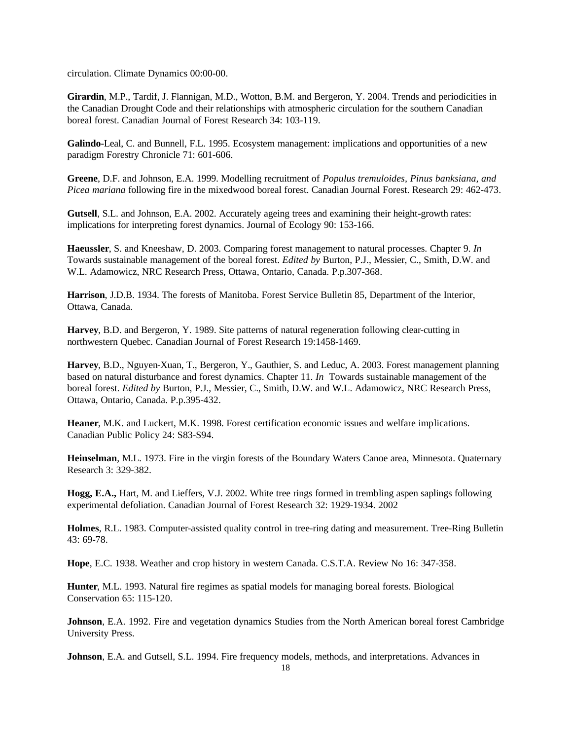circulation. Climate Dynamics 00:00-00.

**Girardin**, M.P., Tardif, J. Flannigan, M.D., Wotton, B.M. and Bergeron, Y. 2004. Trends and periodicities in the Canadian Drought Code and their relationships with atmospheric circulation for the southern Canadian boreal forest. Canadian Journal of Forest Research 34: 103-119.

**Galindo**-Leal, C. and Bunnell, F.L. 1995. Ecosystem management: implications and opportunities of a new paradigm Forestry Chronicle 71: 601-606.

**Greene**, D.F. and Johnson, E.A. 1999. Modelling recruitment of *Populus tremuloides, Pinus banksiana, and Picea mariana* following fire in the mixedwood boreal forest. Canadian Journal Forest. Research 29: 462-473.

**Gutsell**, S.L. and Johnson, E.A. 2002. Accurately ageing trees and examining their height-growth rates: implications for interpreting forest dynamics. Journal of Ecology 90: 153-166.

**Haeussler**, S. and Kneeshaw, D. 2003. Comparing forest management to natural processes. Chapter 9. *In* Towards sustainable management of the boreal forest. *Edited by* Burton, P.J., Messier, C., Smith, D.W. and W.L. Adamowicz, NRC Research Press, Ottawa, Ontario, Canada. P.p.307-368.

**Harrison**, J.D.B. 1934. The forests of Manitoba. Forest Service Bulletin 85, Department of the Interior, Ottawa, Canada.

**Harvey**, B.D. and Bergeron, Y. 1989. Site patterns of natural regeneration following clear-cutting in northwestern Quebec. Canadian Journal of Forest Research 19:1458-1469.

**Harvey**, B.D., Nguyen-Xuan, T., Bergeron, Y., Gauthier, S. and Leduc, A. 2003. Forest management planning based on natural disturbance and forest dynamics. Chapter 11. *In* Towards sustainable management of the boreal forest. *Edited by* Burton, P.J., Messier, C., Smith, D.W. and W.L. Adamowicz, NRC Research Press, Ottawa, Ontario, Canada. P.p.395-432.

**Heaner**, M.K. and Luckert, M.K. 1998. Forest certification economic issues and welfare implications. Canadian Public Policy 24: S83-S94.

**Heinselman**, M.L. 1973. Fire in the virgin forests of the Boundary Waters Canoe area, Minnesota. Quaternary Research 3: 329-382.

**Hogg, E.A.,** Hart, M. and Lieffers, V.J. 2002. White tree rings formed in trembling aspen saplings following experimental defoliation. Canadian Journal of Forest Research 32: 1929-1934. 2002

**Holmes**, R.L. 1983. Computer-assisted quality control in tree-ring dating and measurement. Tree-Ring Bulletin 43: 69-78.

**Hope**, E.C. 1938. Weather and crop history in western Canada. C.S.T.A. Review No 16: 347-358.

**Hunter**, M.L. 1993. Natural fire regimes as spatial models for managing boreal forests. Biological Conservation 65: 115-120.

**Johnson**, E.A. 1992. Fire and vegetation dynamics Studies from the North American boreal forest Cambridge University Press.

**Johnson**, E.A. and Gutsell, S.L. 1994. Fire frequency models, methods, and interpretations. Advances in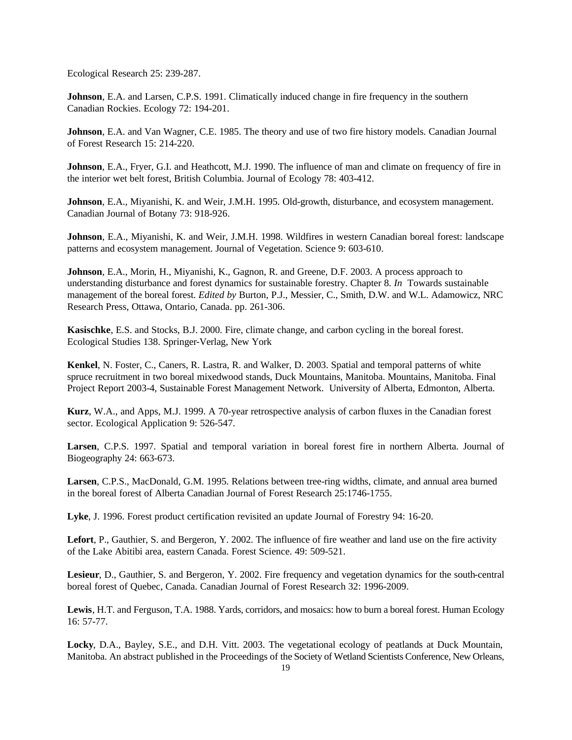Ecological Research 25: 239-287.

**Johnson**, E.A. and Larsen, C.P.S. 1991. Climatically induced change in fire frequency in the southern Canadian Rockies. Ecology 72: 194-201.

**Johnson**, E.A. and Van Wagner, C.E. 1985. The theory and use of two fire history models. Canadian Journal of Forest Research 15: 214-220.

**Johnson**, E.A., Fryer, G.I. and Heathcott, M.J. 1990. The influence of man and climate on frequency of fire in the interior wet belt forest, British Columbia. Journal of Ecology 78: 403-412.

**Johnson**, E.A., Miyanishi, K. and Weir, J.M.H. 1995. Old-growth, disturbance, and ecosystem management. Canadian Journal of Botany 73: 918-926.

**Johnson**, E.A., Miyanishi, K. and Weir, J.M.H. 1998. Wildfires in western Canadian boreal forest: landscape patterns and ecosystem management. Journal of Vegetation. Science 9: 603-610.

**Johnson**, E.A., Morin, H., Miyanishi, K., Gagnon, R. and Greene, D.F. 2003. A process approach to understanding disturbance and forest dynamics for sustainable forestry. Chapter 8. *In* Towards sustainable management of the boreal forest. *Edited by* Burton, P.J., Messier, C., Smith, D.W. and W.L. Adamowicz, NRC Research Press, Ottawa, Ontario, Canada. pp. 261-306.

**Kasischke**, E.S. and Stocks, B.J. 2000. Fire, climate change, and carbon cycling in the boreal forest. Ecological Studies 138. Springer-Verlag, New York

**Kenkel**, N. Foster, C., Caners, R. Lastra, R. and Walker, D. 2003. Spatial and temporal patterns of white spruce recruitment in two boreal mixedwood stands, Duck Mountains, Manitoba. Mountains, Manitoba. Final Project Report 2003-4, Sustainable Forest Management Network. University of Alberta, Edmonton, Alberta.

**Kurz**, W.A., and Apps, M.J. 1999. A 70-year retrospective analysis of carbon fluxes in the Canadian forest sector. Ecological Application 9: 526-547.

**Larsen**, C.P.S. 1997. Spatial and temporal variation in boreal forest fire in northern Alberta. Journal of Biogeography 24: 663-673.

**Larsen**, C.P.S., MacDonald, G.M. 1995. Relations between tree-ring widths, climate, and annual area burned in the boreal forest of Alberta Canadian Journal of Forest Research 25:1746-1755.

**Lyke**, J. 1996. Forest product certification revisited an update Journal of Forestry 94: 16-20.

**Lefort**, P., Gauthier, S. and Bergeron, Y. 2002. The influence of fire weather and land use on the fire activity of the Lake Abitibi area, eastern Canada. Forest Science. 49: 509-521.

**Lesieur**, D., Gauthier, S. and Bergeron, Y. 2002. Fire frequency and vegetation dynamics for the south-central boreal forest of Quebec, Canada. Canadian Journal of Forest Research 32: 1996-2009.

**Lewis**, H.T. and Ferguson, T.A. 1988. Yards, corridors, and mosaics: how to burn a boreal forest. Human Ecology 16: 57-77.

**Locky**, D.A., Bayley, S.E., and D.H. Vitt. 2003. The vegetational ecology of peatlands at Duck Mountain, Manitoba. An abstract published in the Proceedings of the Society of Wetland Scientists Conference, New Orleans,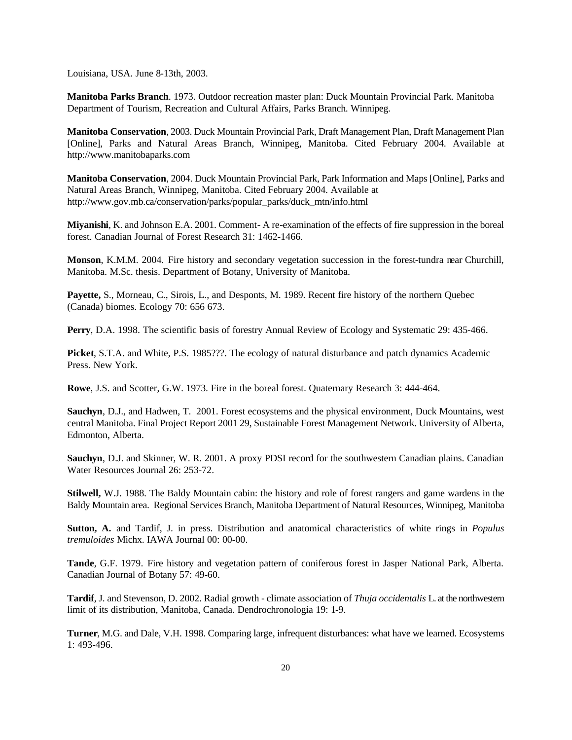Louisiana, USA. June 8-13th, 2003.

**Manitoba Parks Branch**. 1973. Outdoor recreation master plan: Duck Mountain Provincial Park. Manitoba Department of Tourism, Recreation and Cultural Affairs, Parks Branch. Winnipeg.

**Manitoba Conservation**, 2003. Duck Mountain Provincial Park, Draft Management Plan, Draft Management Plan [Online], Parks and Natural Areas Branch, Winnipeg, Manitoba. Cited February 2004. Available at http://www.manitobaparks.com

**Manitoba Conservation**, 2004. Duck Mountain Provincial Park, Park Information and Maps [Online], Parks and Natural Areas Branch, Winnipeg, Manitoba. Cited February 2004. Available at http://www.gov.mb.ca/conservation/parks/popular\_parks/duck\_mtn/info.html

**Miyanishi**, K. and Johnson E.A. 2001. Comment- A re-examination of the effects of fire suppression in the boreal forest. Canadian Journal of Forest Research 31: 1462-1466.

**Monson**, K.M.M. 2004. Fire history and secondary vegetation succession in the forest-tundra near Churchill, Manitoba. M.Sc. thesis. Department of Botany, University of Manitoba.

**Payette,** S., Morneau, C., Sirois, L., and Desponts, M. 1989. Recent fire history of the northern Quebec (Canada) biomes. Ecology 70: 656 673.

**Perry**, D.A. 1998. The scientific basis of forestry Annual Review of Ecology and Systematic 29: 435-466.

**Picket**, S.T.A. and White, P.S. 1985???. The ecology of natural disturbance and patch dynamics Academic Press. New York.

**Rowe**, J.S. and Scotter, G.W. 1973. Fire in the boreal forest. Quaternary Research 3: 444-464.

**Sauchyn**, D.J., and Hadwen, T. 2001. Forest ecosystems and the physical environment, Duck Mountains, west central Manitoba. Final Project Report 2001 29, Sustainable Forest Management Network. University of Alberta, Edmonton, Alberta.

**Sauchyn**, D.J. and Skinner, W. R. 2001. A proxy PDSI record for the southwestern Canadian plains. Canadian Water Resources Journal 26: 253-72.

**Stilwell,** W.J. 1988. The Baldy Mountain cabin: the history and role of forest rangers and game wardens in the Baldy Mountain area. Regional Services Branch, Manitoba Department of Natural Resources, Winnipeg, Manitoba

**Sutton, A.** and Tardif, J. in press. Distribution and anatomical characteristics of white rings in *Populus tremuloides* Michx. IAWA Journal 00: 00-00.

**Tande**, G.F. 1979. Fire history and vegetation pattern of coniferous forest in Jasper National Park, Alberta. Canadian Journal of Botany 57: 49-60.

**Tardif**, J. and Stevenson, D. 2002. Radial growth - climate association of *Thuja occidentalis* L. at the northwestern limit of its distribution, Manitoba, Canada. Dendrochronologia 19: 1-9.

**Turner**, M.G. and Dale, V.H. 1998. Comparing large, infrequent disturbances: what have we learned. Ecosystems 1: 493-496.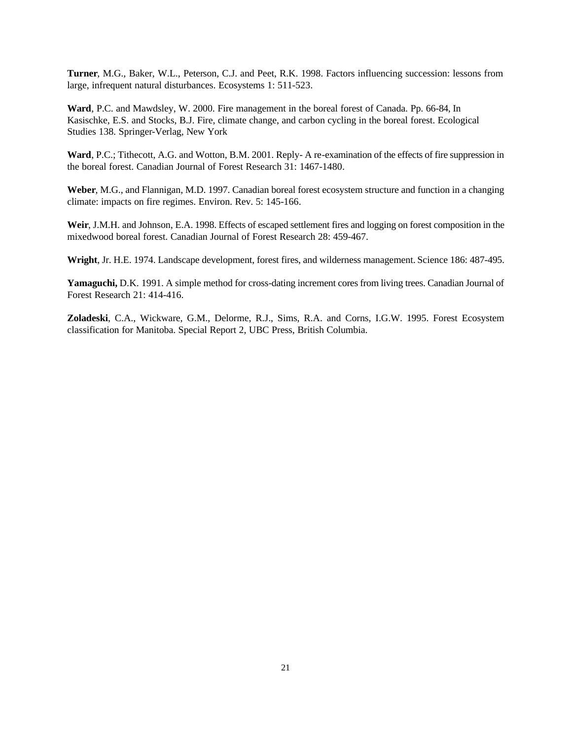**Turner**, M.G., Baker, W.L., Peterson, C.J. and Peet, R.K. 1998. Factors influencing succession: lessons from large, infrequent natural disturbances. Ecosystems 1: 511-523.

**Ward**, P.C. and Mawdsley, W. 2000. Fire management in the boreal forest of Canada. Pp. 66-84, In Kasischke, E.S. and Stocks, B.J. Fire, climate change, and carbon cycling in the boreal forest. Ecological Studies 138. Springer-Verlag, New York

**Ward**, P.C.; Tithecott, A.G. and Wotton, B.M. 2001. Reply- A re-examination of the effects of fire suppression in the boreal forest. Canadian Journal of Forest Research 31: 1467-1480.

**Weber**, M.G., and Flannigan, M.D. 1997. Canadian boreal forest ecosystem structure and function in a changing climate: impacts on fire regimes. Environ. Rev. 5: 145-166.

**Weir**, J.M.H. and Johnson, E.A. 1998. Effects of escaped settlement fires and logging on forest composition in the mixedwood boreal forest. Canadian Journal of Forest Research 28: 459-467.

**Wright**, Jr. H.E. 1974. Landscape development, forest fires, and wilderness management. Science 186: 487-495.

**Yamaguchi,** D.K. 1991. A simple method for cross-dating increment cores from living trees. Canadian Journal of Forest Research 21: 414-416.

**Zoladeski**, C.A., Wickware, G.M., Delorme, R.J., Sims, R.A. and Corns, I.G.W. 1995. Forest Ecosystem classification for Manitoba. Special Report 2, UBC Press, British Columbia.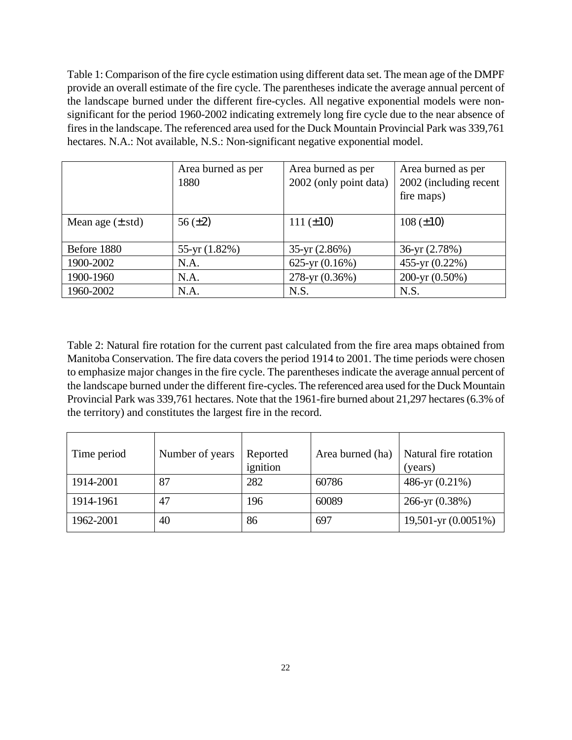Table 1: Comparison of the fire cycle estimation using different data set. The mean age of the DMPF provide an overall estimate of the fire cycle. The parentheses indicate the average annual percent of the landscape burned under the different fire-cycles. All negative exponential models were nonsignificant for the period 1960-2002 indicating extremely long fire cycle due to the near absence of fires in the landscape. The referenced area used for the Duck Mountain Provincial Park was 339,761 hectares. N.A.: Not available, N.S.: Non-significant negative exponential model.

|                              | Area burned as per<br>1880 | Area burned as per<br>2002 (only point data) | Area burned as per<br>2002 (including recent<br>fire maps) |
|------------------------------|----------------------------|----------------------------------------------|------------------------------------------------------------|
| Mean age $(\pm \text{ std})$ | 56 $(\pm 2)$               | 111 $(\pm 10)$                               | $108 (\pm 10)$                                             |
| Before 1880                  | $55-yr(1.82%)$             | $35-yr(2.86%)$                               | $36-yr(2.78%)$                                             |
| 1900-2002                    | N.A.                       | 625-yr $(0.16\%)$                            | 455-yr (0.22%)                                             |
| 1900-1960                    | N.A.                       | 278-yr (0.36%)                               | 200-yr $(0.50\%)$                                          |
| 1960-2002                    | N.A.                       | N.S.                                         | N.S.                                                       |

Table 2: Natural fire rotation for the current past calculated from the fire area maps obtained from Manitoba Conservation. The fire data covers the period 1914 to 2001. The time periods were chosen to emphasize major changes in the fire cycle. The parentheses indicate the average annual percent of the landscape burned under the different fire-cycles. The referenced area used for the Duck Mountain Provincial Park was 339,761 hectares. Note that the 1961-fire burned about 21,297 hectares (6.3% of the territory) and constitutes the largest fire in the record.

| Time period | Number of years | Reported<br>ignition | Area burned (ha) | Natural fire rotation<br>(years) |
|-------------|-----------------|----------------------|------------------|----------------------------------|
| 1914-2001   | 87              | 282                  | 60786            | 486-yr $(0.21\%)$                |
| 1914-1961   | 47              | 196                  | 60089            | $266$ -yr $(0.38\%)$             |
| 1962-2001   | 40              | 86                   | 697              | 19,501-yr (0.0051%)              |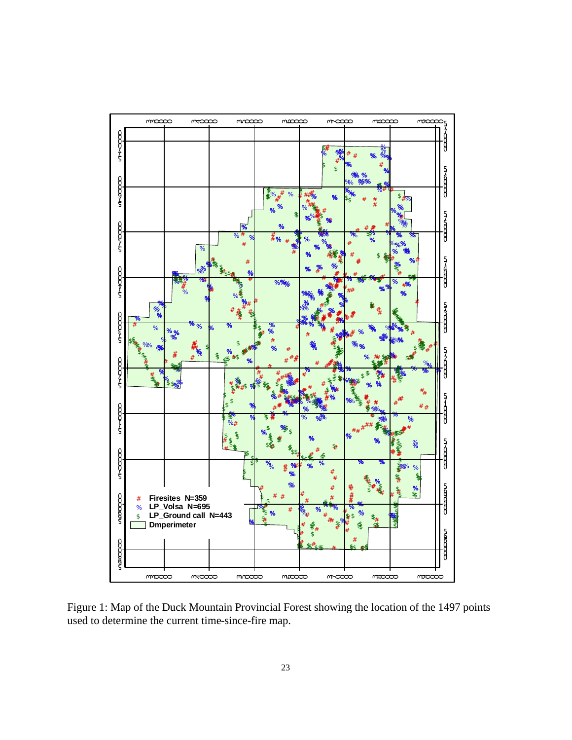

Figure 1: Map of the Duck Mountain Provincial Forest showing the location of the 1497 points used to determine the current time-since-fire map.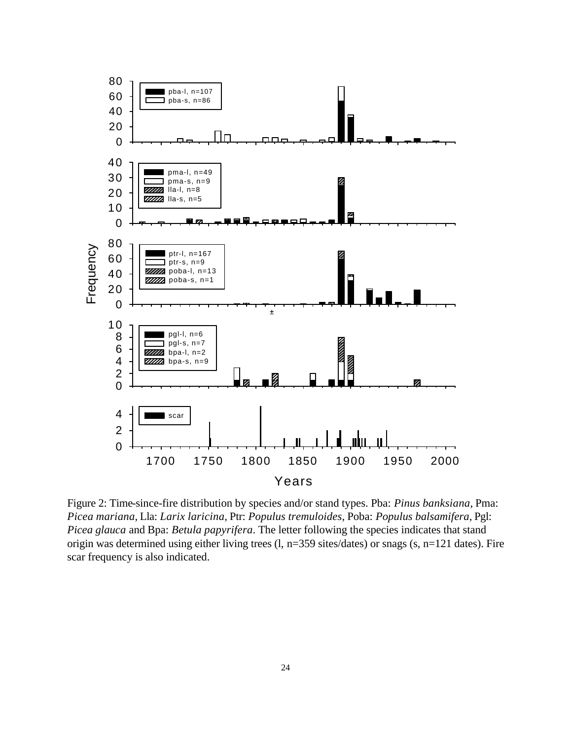

Figure 2: Time-since-fire distribution by species and/or stand types. Pba: *Pinus banksiana*, Pma: *Picea mariana*, Lla: *Larix laricina*, Ptr: *Populus tremuloides*, Poba: *Populus balsamifera*, Pgl: *Picea glauca* and Bpa: *Betula papyrifera*. The letter following the species indicates that stand origin was determined using either living trees (l, n=359 sites/dates) or snags (s, n=121 dates). Fire scar frequency is also indicated.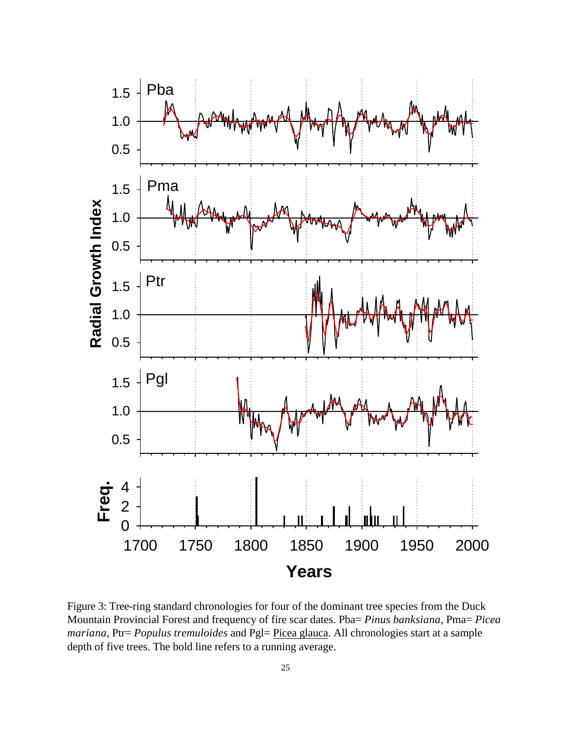

Figure 3: Tree-ring standard chronologies for four of the dominant tree species from the Duck Mountain Provincial Forest and frequency of fire scar dates. Pba= *Pinus banksiana*, Pma= *Picea mariana*, Ptr= *Populus tremuloides* and Pgl= Picea glauca. All chronologies start at a sample depth of five trees. The bold line refers to a running average.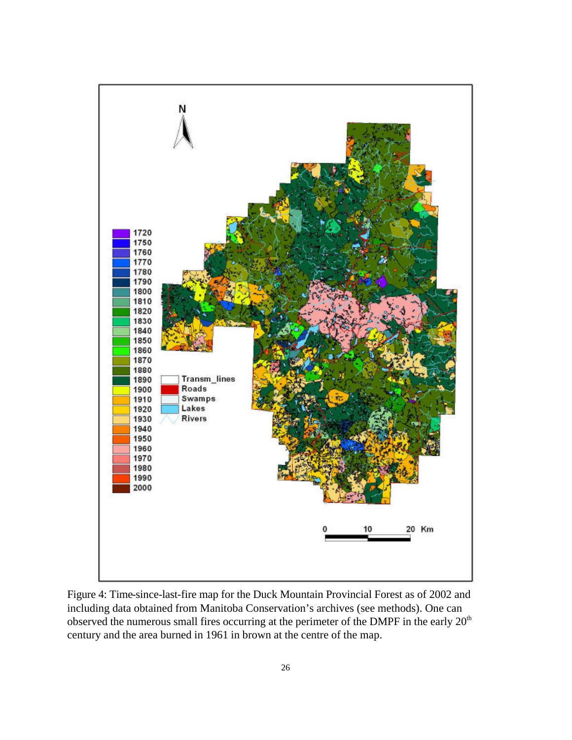

Figure 4: Time-since-last-fire map for the Duck Mountain Provincial Forest as of 2002 and including data obtained from Manitoba Conservation's archives (see methods). One can observed the numerous small fires occurring at the perimeter of the DMPF in the early  $20<sup>th</sup>$ century and the area burned in 1961 in brown at the centre of the map.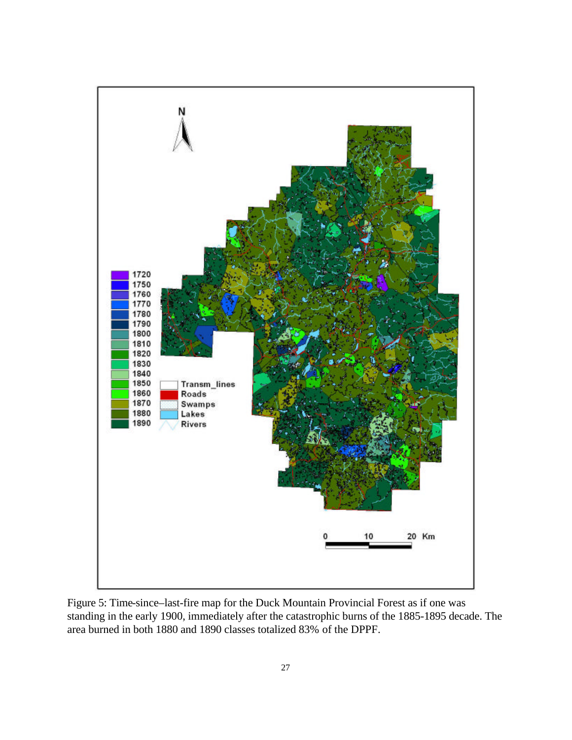

Figure 5: Time-since–last-fire map for the Duck Mountain Provincial Forest as if one was standing in the early 1900, immediately after the catastrophic burns of the 1885-1895 decade. The area burned in both 1880 and 1890 classes totalized 83% of the DPPF.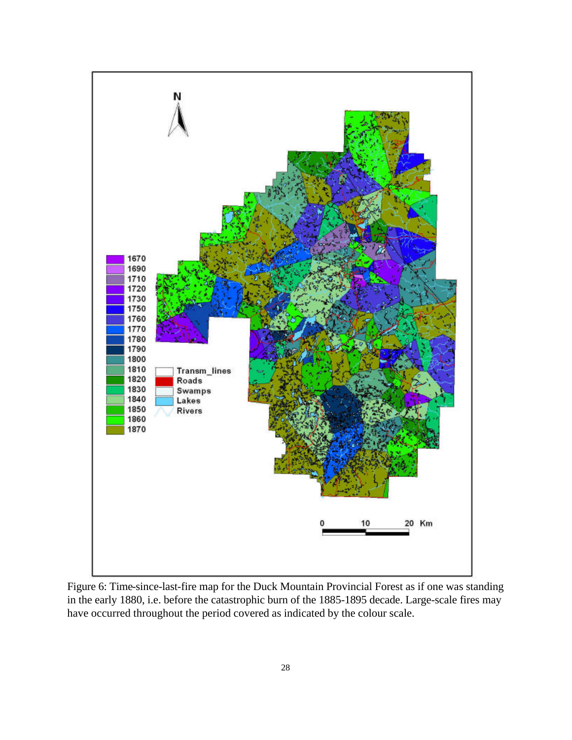

Figure 6: Time-since-last-fire map for the Duck Mountain Provincial Forest as if one was standing in the early 1880, i.e. before the catastrophic burn of the 1885-1895 decade. Large-scale fires may have occurred throughout the period covered as indicated by the colour scale.